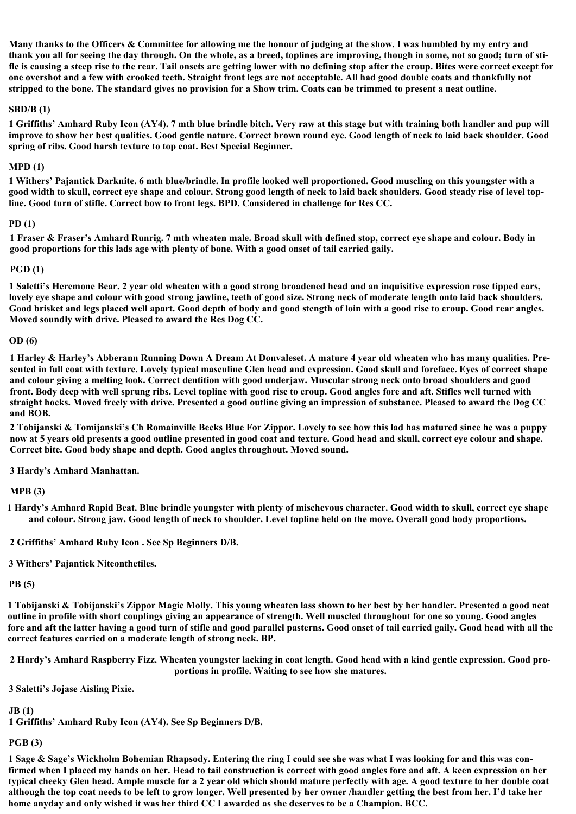**Many thanks to the Officers & Committee for allowing me the honour of judging at the show. I was humbled by my entry and thank you all for seeing the day through. On the whole, as a breed, toplines are improving, though in some, not so good; turn of stifle is causing a steep rise to the rear. Tail onsets are getting lower with no defining stop after the croup. Bites were correct except for one overshot and a few with crooked teeth. Straight front legs are not acceptable. All had good double coats and thankfully not stripped to the bone. The standard gives no provision for a Show trim. Coats can be trimmed to present a neat outline.**

## **SBD/B (1)**

**1 Griffiths' Amhard Ruby Icon (AY4). 7 mth blue brindle bitch. Very raw at this stage but with training both handler and pup will improve to show her best qualities. Good gentle nature. Correct brown round eye. Good length of neck to laid back shoulder. Good spring of ribs. Good harsh texture to top coat. Best Special Beginner.**

## **MPD (1)**

**1 Withers' Pajantick Darknite. 6 mth blue/brindle. In profile looked well proportioned. Good muscling on this youngster with a good width to skull, correct eye shape and colour. Strong good length of neck to laid back shoulders. Good steady rise of level topline. Good turn of stifle. Correct bow to front legs. BPD. Considered in challenge for Res CC.**

## **PD (1)**

**1 Fraser & Fraser's Amhard Runrig. 7 mth wheaten male. Broad skull with defined stop, correct eye shape and colour. Body in good proportions for this lads age with plenty of bone. With a good onset of tail carried gaily.**

### **PGD (1)**

**1 Saletti's Heremone Bear. 2 year old wheaten with a good strong broadened head and an inquisitive expression rose tipped ears, lovely eye shape and colour with good strong jawline, teeth of good size. Strong neck of moderate length onto laid back shoulders. Good brisket and legs placed well apart. Good depth of body and good stength of loin with a good rise to croup. Good rear angles. Moved soundly with drive. Pleased to award the Res Dog CC.**

#### **OD (6)**

**1 Harley & Harley's Abberann Running Down A Dream At Donvaleset. A mature 4 year old wheaten who has many qualities. Presented in full coat with texture. Lovely typical masculine Glen head and expression. Good skull and foreface. Eyes of correct shape and colour giving a melting look. Correct dentition with good underjaw. Muscular strong neck onto broad shoulders and good front. Body deep with well sprung ribs. Level topline with good rise to croup. Good angles fore and aft. Stifles well turned with straight hocks. Moved freely with drive. Presented a good outline giving an impression of substance. Pleased to award the Dog CC and BOB.**

**2 Tobijanski & Tomijanski's Ch Romainville Becks Blue For Zippor. Lovely to see how this lad has matured since he was a puppy now at 5 years old presents a good outline presented in good coat and texture. Good head and skull, correct eye colour and shape. Correct bite. Good body shape and depth. Good angles throughout. Moved sound.**

**3 Hardy's Amhard Manhattan.**

## **MPB (3)**

**1 Hardy's Amhard Rapid Beat. Blue brindle youngster with plenty of mischevous character. Good width to skull, correct eye shape and colour. Strong jaw. Good length of neck to shoulder. Level topline held on the move. Overall good body proportions.**

**2 Griffiths' Amhard Ruby Icon . See Sp Beginners D/B.**

**3 Withers' Pajantick Niteonthetiles.**

## **PB (5)**

**1 Tobijanski & Tobijanski's Zippor Magic Molly. This young wheaten lass shown to her best by her handler. Presented a good neat outline in profile with short couplings giving an appearance of strength. Well muscled throughout for one so young. Good angles fore and aft the latter having a good turn of stifle and good parallel pasterns. Good onset of tail carried gaily. Good head with all the correct features carried on a moderate length of strong neck. BP.**

**2 Hardy's Amhard Raspberry Fizz. Wheaten youngster lacking in coat length. Good head with a kind gentle expression. Good proportions in profile. Waiting to see how she matures.**

**3 Saletti's Jojase Aisling Pixie.**

**JB (1)**

**1 Griffiths' Amhard Ruby Icon (AY4). See Sp Beginners D/B.**

# **PGB (3)**

**1 Sage & Sage's Wickholm Bohemian Rhapsody. Entering the ring I could see she was what I was looking for and this was confirmed when I placed my hands on her. Head to tail construction is correct with good angles fore and aft. A keen expression on her typical cheeky Glen head. Ample muscle for a 2 year old which should mature perfectly with age. A good texture to her double coat although the top coat needs to be left to grow longer. Well presented by her owner /handler getting the best from her. I'd take her home anyday and only wished it was her third CC I awarded as she deserves to be a Champion. BCC.**